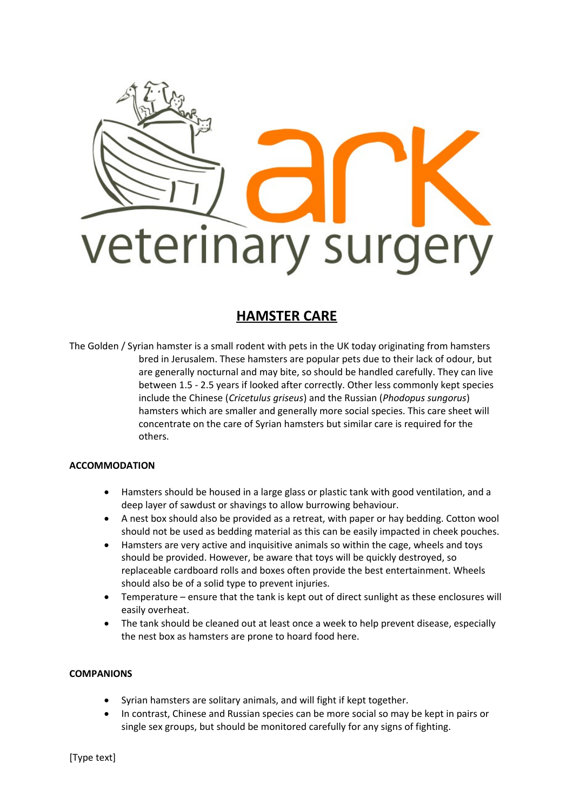

# **HAMSTER CARE**

The Golden / Syrian hamster is a small rodent with pets in the UK today originating from hamsters bred in Jerusalem. These hamsters are popular pets due to their lack of odour, but are generally nocturnal and may bite, so should be handled carefully. They can live between 1.5 - 2.5 years if looked after correctly. Other less commonly kept species include the Chinese (*Cricetulus griseus*) and the Russian (*Phodopus sungorus*) hamsters which are smaller and generally more social species. This care sheet will concentrate on the care of Syrian hamsters but similar care is required for the others.

# **ACCOMMODATION**

- Hamsters should be housed in a large glass or plastic tank with good ventilation, and a deep layer of sawdust or shavings to allow burrowing behaviour.
- A nest box should also be provided as a retreat, with paper or hay bedding. Cotton wool should not be used as bedding material as this can be easily impacted in cheek pouches.
- Hamsters are very active and inquisitive animals so within the cage, wheels and toys should be provided. However, be aware that toys will be quickly destroyed, so replaceable cardboard rolls and boxes often provide the best entertainment. Wheels should also be of a solid type to prevent injuries.
- Temperature ensure that the tank is kept out of direct sunlight as these enclosures will easily overheat.
- The tank should be cleaned out at least once a week to help prevent disease, especially the nest box as hamsters are prone to hoard food here.

## **COMPANIONS**

- Syrian hamsters are solitary animals, and will fight if kept together.
- In contrast, Chinese and Russian species can be more social so may be kept in pairs or single sex groups, but should be monitored carefully for any signs of fighting.